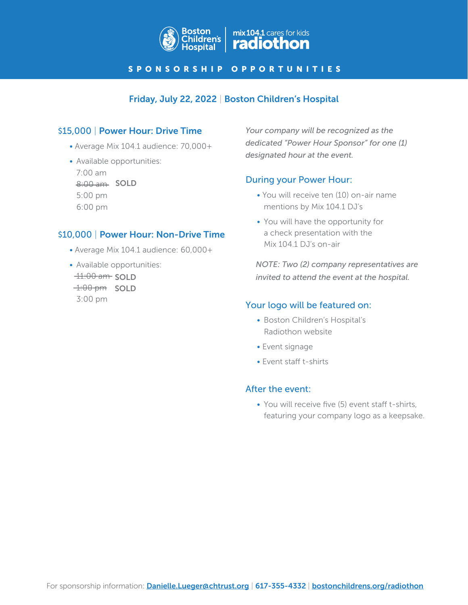

#### SPONSORSHIP OPPORTUNITIES

# Friday, July 22, 2022 | Boston Children's Hospital

## \$15,000 | Power Hour: Drive Time

- Average Mix 104.1 audience: 70,000+
- Available opportunities: 7:00 am 8:00 am SOLD 5:00 pm 6:00 pm

### \$10,000 | Power Hour: Non-Drive Time

- Average Mix 104.1 audience: 60,000+
- Available opportunities:  $-11:00$  am SOLD  $-1:00$  pm SOLD 3:00 pm

*Your company will be recognized as the dedicated "Power Hour Sponsor" for one (1) designated hour at the event.*

### During your Power Hour:

- You will receive ten (10) on-air name mentions by Mix 104.1 DJ's
- You will have the opportunity for a check presentation with the Mix 104.1 DJ's on-air

*NOTE: Two (2) company representatives are invited to attend the event at the hospital.*

#### Your logo will be featured on:

- Boston Children's Hospital's Radiothon website
- Event signage
- Event staff t-shirts

#### After the event:

• You will receive five (5) event staff t-shirts, featuring your company logo as a keepsake.